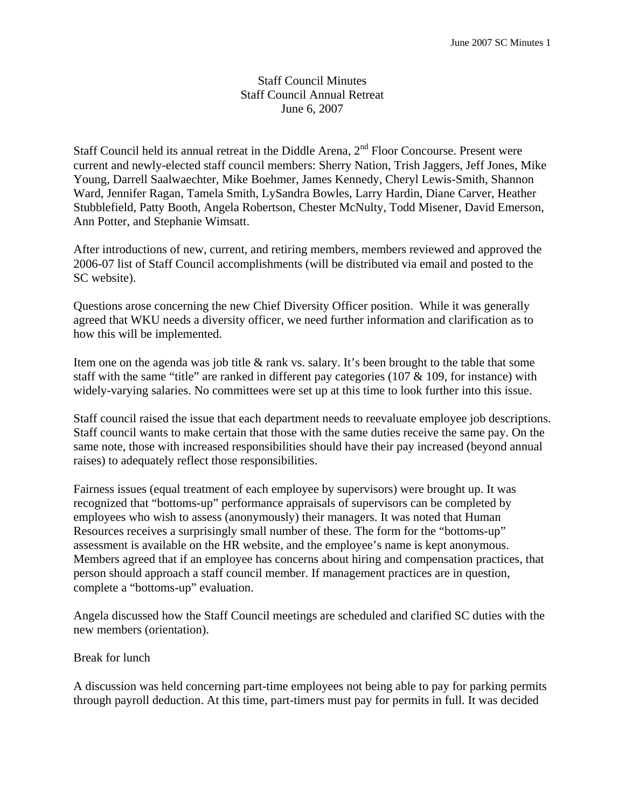## Staff Council Minutes Staff Council Annual Retreat June 6, 2007

Staff Council held its annual retreat in the Diddle Arena,  $2<sup>nd</sup>$  Floor Concourse. Present were current and newly-elected staff council members: Sherry Nation, Trish Jaggers, Jeff Jones, Mike Young, Darrell Saalwaechter, Mike Boehmer, James Kennedy, Cheryl Lewis-Smith, Shannon Ward, Jennifer Ragan, Tamela Smith, LySandra Bowles, Larry Hardin, Diane Carver, Heather Stubblefield, Patty Booth, Angela Robertson, Chester McNulty, Todd Misener, David Emerson, Ann Potter, and Stephanie Wimsatt.

After introductions of new, current, and retiring members, members reviewed and approved the 2006-07 list of Staff Council accomplishments (will be distributed via email and posted to the SC website).

Questions arose concerning the new Chief Diversity Officer position. While it was generally agreed that WKU needs a diversity officer, we need further information and clarification as to how this will be implemented.

Item one on the agenda was job title & rank vs. salary. It's been brought to the table that some staff with the same "title" are ranked in different pay categories (107 & 109, for instance) with widely-varying salaries. No committees were set up at this time to look further into this issue.

Staff council raised the issue that each department needs to reevaluate employee job descriptions. Staff council wants to make certain that those with the same duties receive the same pay. On the same note, those with increased responsibilities should have their pay increased (beyond annual raises) to adequately reflect those responsibilities.

Fairness issues (equal treatment of each employee by supervisors) were brought up. It was recognized that "bottoms-up" performance appraisals of supervisors can be completed by employees who wish to assess (anonymously) their managers. It was noted that Human Resources receives a surprisingly small number of these. The form for the "bottoms-up" assessment is available on the HR website, and the employee's name is kept anonymous. Members agreed that if an employee has concerns about hiring and compensation practices, that person should approach a staff council member. If management practices are in question, complete a "bottoms-up" evaluation.

Angela discussed how the Staff Council meetings are scheduled and clarified SC duties with the new members (orientation).

### Break for lunch

A discussion was held concerning part-time employees not being able to pay for parking permits through payroll deduction. At this time, part-timers must pay for permits in full. It was decided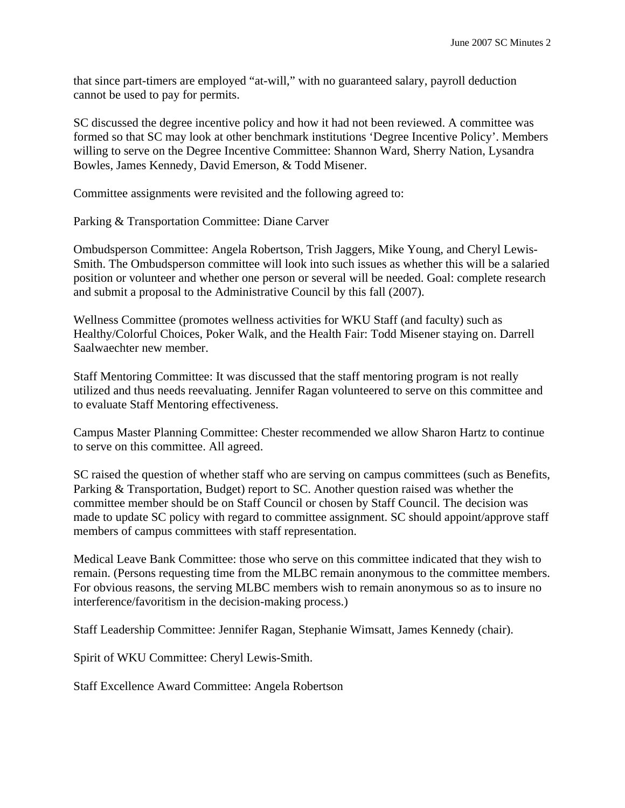that since part-timers are employed "at-will," with no guaranteed salary, payroll deduction cannot be used to pay for permits.

SC discussed the degree incentive policy and how it had not been reviewed. A committee was formed so that SC may look at other benchmark institutions 'Degree Incentive Policy'. Members willing to serve on the Degree Incentive Committee: Shannon Ward, Sherry Nation, Lysandra Bowles, James Kennedy, David Emerson, & Todd Misener.

Committee assignments were revisited and the following agreed to:

Parking & Transportation Committee: Diane Carver

Ombudsperson Committee: Angela Robertson, Trish Jaggers, Mike Young, and Cheryl Lewis-Smith. The Ombudsperson committee will look into such issues as whether this will be a salaried position or volunteer and whether one person or several will be needed. Goal: complete research and submit a proposal to the Administrative Council by this fall (2007).

Wellness Committee (promotes wellness activities for WKU Staff (and faculty) such as Healthy/Colorful Choices, Poker Walk, and the Health Fair: Todd Misener staying on. Darrell Saalwaechter new member.

Staff Mentoring Committee: It was discussed that the staff mentoring program is not really utilized and thus needs reevaluating. Jennifer Ragan volunteered to serve on this committee and to evaluate Staff Mentoring effectiveness.

Campus Master Planning Committee: Chester recommended we allow Sharon Hartz to continue to serve on this committee. All agreed.

SC raised the question of whether staff who are serving on campus committees (such as Benefits, Parking & Transportation, Budget) report to SC. Another question raised was whether the committee member should be on Staff Council or chosen by Staff Council. The decision was made to update SC policy with regard to committee assignment. SC should appoint/approve staff members of campus committees with staff representation.

Medical Leave Bank Committee: those who serve on this committee indicated that they wish to remain. (Persons requesting time from the MLBC remain anonymous to the committee members. For obvious reasons, the serving MLBC members wish to remain anonymous so as to insure no interference/favoritism in the decision-making process.)

Staff Leadership Committee: Jennifer Ragan, Stephanie Wimsatt, James Kennedy (chair).

Spirit of WKU Committee: Cheryl Lewis-Smith.

Staff Excellence Award Committee: Angela Robertson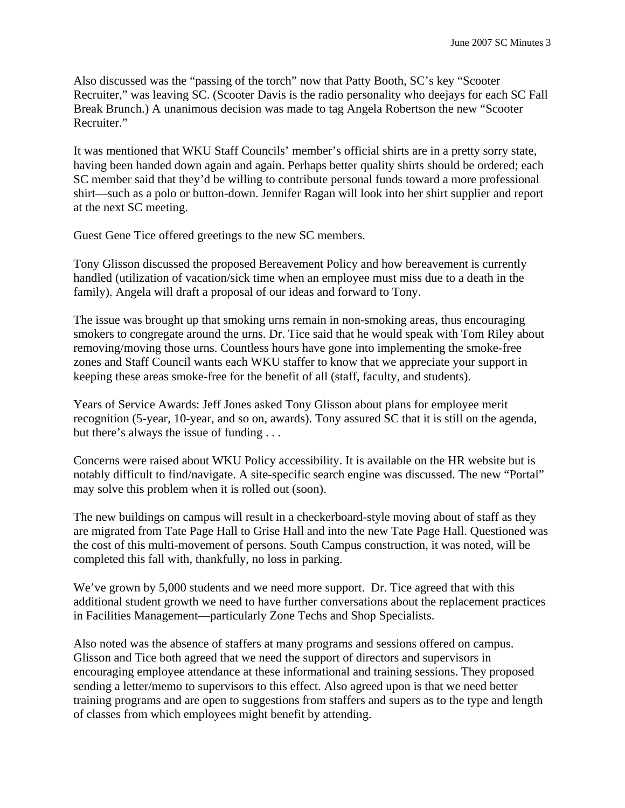Also discussed was the "passing of the torch" now that Patty Booth, SC's key "Scooter Recruiter," was leaving SC. (Scooter Davis is the radio personality who deejays for each SC Fall Break Brunch.) A unanimous decision was made to tag Angela Robertson the new "Scooter Recruiter."

It was mentioned that WKU Staff Councils' member's official shirts are in a pretty sorry state, having been handed down again and again. Perhaps better quality shirts should be ordered; each SC member said that they'd be willing to contribute personal funds toward a more professional shirt—such as a polo or button-down. Jennifer Ragan will look into her shirt supplier and report at the next SC meeting.

Guest Gene Tice offered greetings to the new SC members.

Tony Glisson discussed the proposed Bereavement Policy and how bereavement is currently handled (utilization of vacation/sick time when an employee must miss due to a death in the family). Angela will draft a proposal of our ideas and forward to Tony.

The issue was brought up that smoking urns remain in non-smoking areas, thus encouraging smokers to congregate around the urns. Dr. Tice said that he would speak with Tom Riley about removing/moving those urns. Countless hours have gone into implementing the smoke-free zones and Staff Council wants each WKU staffer to know that we appreciate your support in keeping these areas smoke-free for the benefit of all (staff, faculty, and students).

Years of Service Awards: Jeff Jones asked Tony Glisson about plans for employee merit recognition (5-year, 10-year, and so on, awards). Tony assured SC that it is still on the agenda, but there's always the issue of funding . . .

Concerns were raised about WKU Policy accessibility. It is available on the HR website but is notably difficult to find/navigate. A site-specific search engine was discussed. The new "Portal" may solve this problem when it is rolled out (soon).

The new buildings on campus will result in a checkerboard-style moving about of staff as they are migrated from Tate Page Hall to Grise Hall and into the new Tate Page Hall. Questioned was the cost of this multi-movement of persons. South Campus construction, it was noted, will be completed this fall with, thankfully, no loss in parking.

We've grown by 5,000 students and we need more support. Dr. Tice agreed that with this additional student growth we need to have further conversations about the replacement practices in Facilities Management—particularly Zone Techs and Shop Specialists.

Also noted was the absence of staffers at many programs and sessions offered on campus. Glisson and Tice both agreed that we need the support of directors and supervisors in encouraging employee attendance at these informational and training sessions. They proposed sending a letter/memo to supervisors to this effect. Also agreed upon is that we need better training programs and are open to suggestions from staffers and supers as to the type and length of classes from which employees might benefit by attending.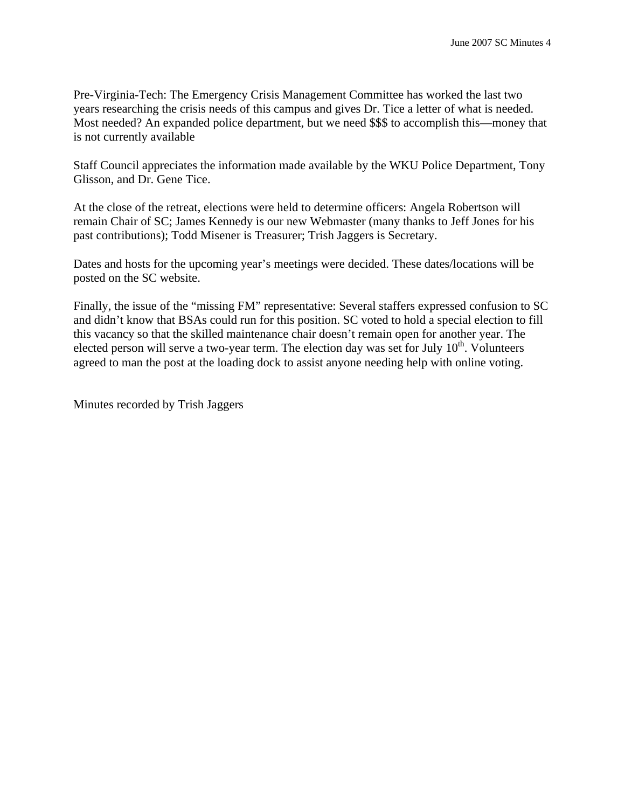Pre-Virginia-Tech: The Emergency Crisis Management Committee has worked the last two years researching the crisis needs of this campus and gives Dr. Tice a letter of what is needed. Most needed? An expanded police department, but we need \$\$\$ to accomplish this—money that is not currently available

Staff Council appreciates the information made available by the WKU Police Department, Tony Glisson, and Dr. Gene Tice.

At the close of the retreat, elections were held to determine officers: Angela Robertson will remain Chair of SC; James Kennedy is our new Webmaster (many thanks to Jeff Jones for his past contributions); Todd Misener is Treasurer; Trish Jaggers is Secretary.

Dates and hosts for the upcoming year's meetings were decided. These dates/locations will be posted on the SC website.

Finally, the issue of the "missing FM" representative: Several staffers expressed confusion to SC and didn't know that BSAs could run for this position. SC voted to hold a special election to fill this vacancy so that the skilled maintenance chair doesn't remain open for another year. The elected person will serve a two-year term. The election day was set for July  $10^{th}$ . Volunteers agreed to man the post at the loading dock to assist anyone needing help with online voting.

Minutes recorded by Trish Jaggers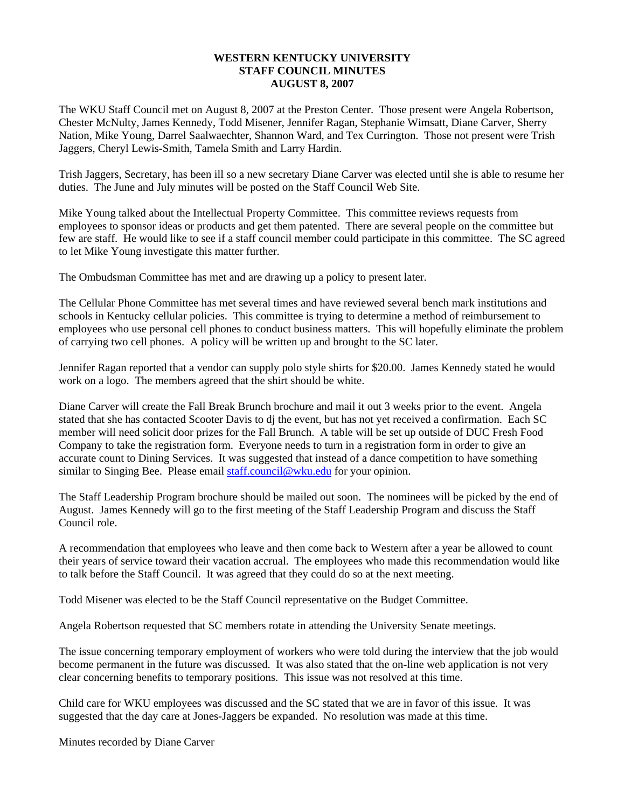#### **WESTERN KENTUCKY UNIVERSITY STAFF COUNCIL MINUTES AUGUST 8, 2007**

The WKU Staff Council met on August 8, 2007 at the Preston Center. Those present were Angela Robertson, Chester McNulty, James Kennedy, Todd Misener, Jennifer Ragan, Stephanie Wimsatt, Diane Carver, Sherry Nation, Mike Young, Darrel Saalwaechter, Shannon Ward, and Tex Currington. Those not present were Trish Jaggers, Cheryl Lewis-Smith, Tamela Smith and Larry Hardin.

Trish Jaggers, Secretary, has been ill so a new secretary Diane Carver was elected until she is able to resume her duties. The June and July minutes will be posted on the Staff Council Web Site.

Mike Young talked about the Intellectual Property Committee. This committee reviews requests from employees to sponsor ideas or products and get them patented. There are several people on the committee but few are staff. He would like to see if a staff council member could participate in this committee. The SC agreed to let Mike Young investigate this matter further.

The Ombudsman Committee has met and are drawing up a policy to present later.

The Cellular Phone Committee has met several times and have reviewed several bench mark institutions and schools in Kentucky cellular policies. This committee is trying to determine a method of reimbursement to employees who use personal cell phones to conduct business matters. This will hopefully eliminate the problem of carrying two cell phones. A policy will be written up and brought to the SC later.

Jennifer Ragan reported that a vendor can supply polo style shirts for \$20.00. James Kennedy stated he would work on a logo. The members agreed that the shirt should be white.

Diane Carver will create the Fall Break Brunch brochure and mail it out 3 weeks prior to the event. Angela stated that she has contacted Scooter Davis to dj the event, but has not yet received a confirmation. Each SC member will need solicit door prizes for the Fall Brunch. A table will be set up outside of DUC Fresh Food Company to take the registration form. Everyone needs to turn in a registration form in order to give an accurate count to Dining Services. It was suggested that instead of a dance competition to have something similar to Singing Bee. Please email [staff.council@wku.edu](mailto:staff.council@wku.edu) for your opinion.

The Staff Leadership Program brochure should be mailed out soon. The nominees will be picked by the end of August. James Kennedy will go to the first meeting of the Staff Leadership Program and discuss the Staff Council role.

A recommendation that employees who leave and then come back to Western after a year be allowed to count their years of service toward their vacation accrual. The employees who made this recommendation would like to talk before the Staff Council. It was agreed that they could do so at the next meeting.

Todd Misener was elected to be the Staff Council representative on the Budget Committee.

Angela Robertson requested that SC members rotate in attending the University Senate meetings.

The issue concerning temporary employment of workers who were told during the interview that the job would become permanent in the future was discussed. It was also stated that the on-line web application is not very clear concerning benefits to temporary positions. This issue was not resolved at this time.

Child care for WKU employees was discussed and the SC stated that we are in favor of this issue. It was suggested that the day care at Jones-Jaggers be expanded. No resolution was made at this time.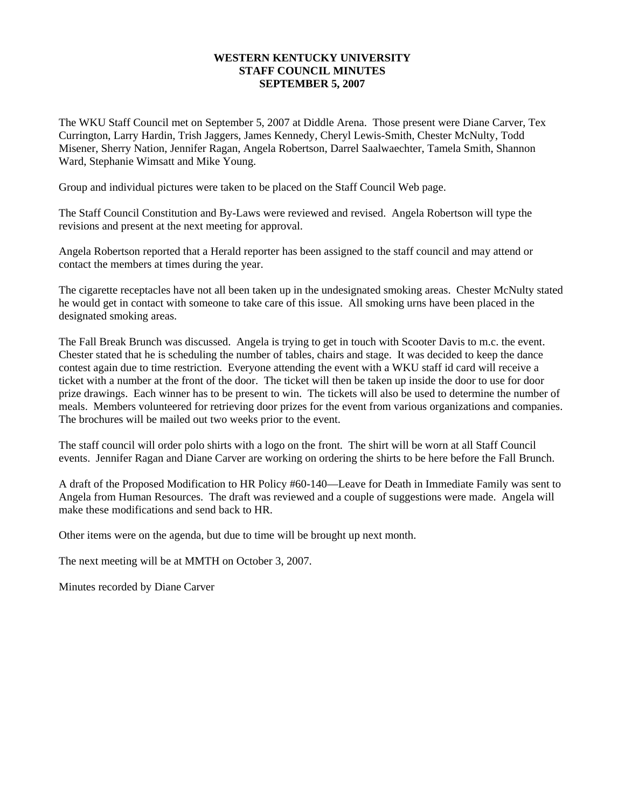#### **WESTERN KENTUCKY UNIVERSITY STAFF COUNCIL MINUTES SEPTEMBER 5, 2007**

The WKU Staff Council met on September 5, 2007 at Diddle Arena. Those present were Diane Carver, Tex Currington, Larry Hardin, Trish Jaggers, James Kennedy, Cheryl Lewis-Smith, Chester McNulty, Todd Misener, Sherry Nation, Jennifer Ragan, Angela Robertson, Darrel Saalwaechter, Tamela Smith, Shannon Ward, Stephanie Wimsatt and Mike Young.

Group and individual pictures were taken to be placed on the Staff Council Web page.

The Staff Council Constitution and By-Laws were reviewed and revised. Angela Robertson will type the revisions and present at the next meeting for approval.

Angela Robertson reported that a Herald reporter has been assigned to the staff council and may attend or contact the members at times during the year.

The cigarette receptacles have not all been taken up in the undesignated smoking areas. Chester McNulty stated he would get in contact with someone to take care of this issue. All smoking urns have been placed in the designated smoking areas.

The Fall Break Brunch was discussed. Angela is trying to get in touch with Scooter Davis to m.c. the event. Chester stated that he is scheduling the number of tables, chairs and stage. It was decided to keep the dance contest again due to time restriction. Everyone attending the event with a WKU staff id card will receive a ticket with a number at the front of the door. The ticket will then be taken up inside the door to use for door prize drawings. Each winner has to be present to win. The tickets will also be used to determine the number of meals. Members volunteered for retrieving door prizes for the event from various organizations and companies. The brochures will be mailed out two weeks prior to the event.

The staff council will order polo shirts with a logo on the front. The shirt will be worn at all Staff Council events. Jennifer Ragan and Diane Carver are working on ordering the shirts to be here before the Fall Brunch.

A draft of the Proposed Modification to HR Policy #60-140—Leave for Death in Immediate Family was sent to Angela from Human Resources. The draft was reviewed and a couple of suggestions were made. Angela will make these modifications and send back to HR.

Other items were on the agenda, but due to time will be brought up next month.

The next meeting will be at MMTH on October 3, 2007.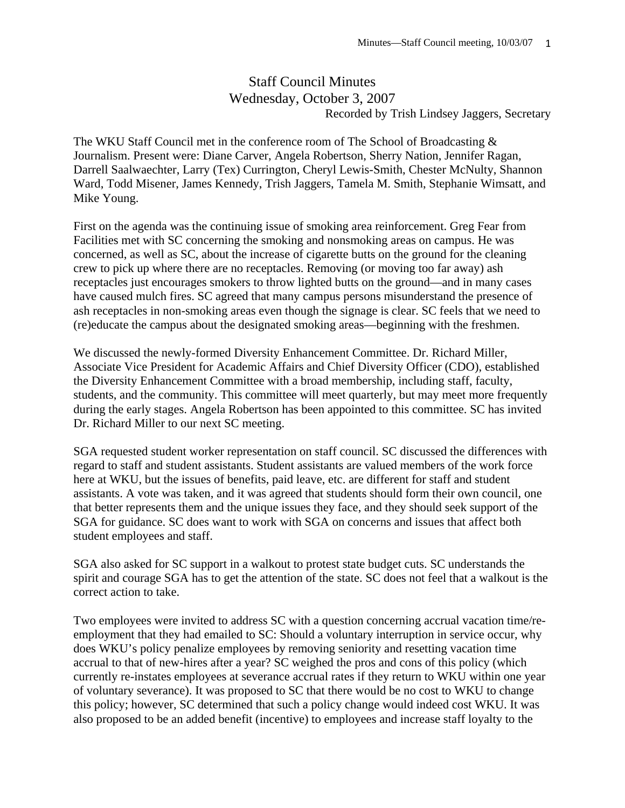# Staff Council Minutes Wednesday, October 3, 2007 Recorded by Trish Lindsey Jaggers, Secretary

The WKU Staff Council met in the conference room of The School of Broadcasting & Journalism. Present were: Diane Carver, Angela Robertson, Sherry Nation, Jennifer Ragan, Darrell Saalwaechter, Larry (Tex) Currington, Cheryl Lewis-Smith, Chester McNulty, Shannon Ward, Todd Misener, James Kennedy, Trish Jaggers, Tamela M. Smith, Stephanie Wimsatt, and Mike Young.

First on the agenda was the continuing issue of smoking area reinforcement. Greg Fear from Facilities met with SC concerning the smoking and nonsmoking areas on campus. He was concerned, as well as SC, about the increase of cigarette butts on the ground for the cleaning crew to pick up where there are no receptacles. Removing (or moving too far away) ash receptacles just encourages smokers to throw lighted butts on the ground—and in many cases have caused mulch fires. SC agreed that many campus persons misunderstand the presence of ash receptacles in non-smoking areas even though the signage is clear. SC feels that we need to (re)educate the campus about the designated smoking areas—beginning with the freshmen.

We discussed the newly-formed Diversity Enhancement Committee. Dr. Richard Miller, Associate Vice President for Academic Affairs and Chief Diversity Officer (CDO), established the Diversity Enhancement Committee with a broad membership, including staff, faculty, students, and the community. This committee will meet quarterly, but may meet more frequently during the early stages. Angela Robertson has been appointed to this committee. SC has invited Dr. Richard Miller to our next SC meeting.

SGA requested student worker representation on staff council. SC discussed the differences with regard to staff and student assistants. Student assistants are valued members of the work force here at WKU, but the issues of benefits, paid leave, etc. are different for staff and student assistants. A vote was taken, and it was agreed that students should form their own council, one that better represents them and the unique issues they face, and they should seek support of the SGA for guidance. SC does want to work with SGA on concerns and issues that affect both student employees and staff.

SGA also asked for SC support in a walkout to protest state budget cuts. SC understands the spirit and courage SGA has to get the attention of the state. SC does not feel that a walkout is the correct action to take.

Two employees were invited to address SC with a question concerning accrual vacation time/reemployment that they had emailed to SC: Should a voluntary interruption in service occur, why does WKU's policy penalize employees by removing seniority and resetting vacation time accrual to that of new-hires after a year? SC weighed the pros and cons of this policy (which currently re-instates employees at severance accrual rates if they return to WKU within one year of voluntary severance). It was proposed to SC that there would be no cost to WKU to change this policy; however, SC determined that such a policy change would indeed cost WKU. It was also proposed to be an added benefit (incentive) to employees and increase staff loyalty to the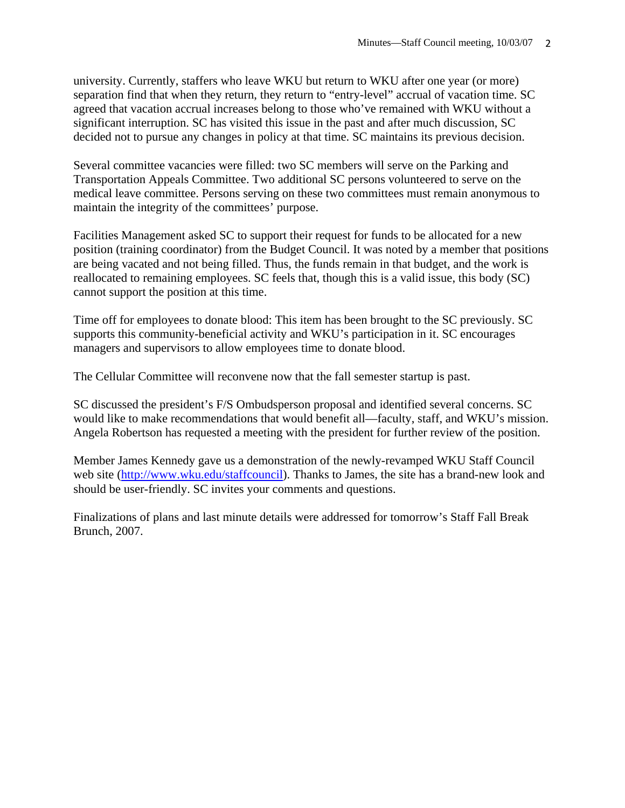university. Currently, staffers who leave WKU but return to WKU after one year (or more) separation find that when they return, they return to "entry-level" accrual of vacation time. SC agreed that vacation accrual increases belong to those who've remained with WKU without a significant interruption. SC has visited this issue in the past and after much discussion, SC decided not to pursue any changes in policy at that time. SC maintains its previous decision.

Several committee vacancies were filled: two SC members will serve on the Parking and Transportation Appeals Committee. Two additional SC persons volunteered to serve on the medical leave committee. Persons serving on these two committees must remain anonymous to maintain the integrity of the committees' purpose.

Facilities Management asked SC to support their request for funds to be allocated for a new position (training coordinator) from the Budget Council. It was noted by a member that positions are being vacated and not being filled. Thus, the funds remain in that budget, and the work is reallocated to remaining employees. SC feels that, though this is a valid issue, this body (SC) cannot support the position at this time.

Time off for employees to donate blood: This item has been brought to the SC previously. SC supports this community-beneficial activity and WKU's participation in it. SC encourages managers and supervisors to allow employees time to donate blood.

The Cellular Committee will reconvene now that the fall semester startup is past.

SC discussed the president's F/S Ombudsperson proposal and identified several concerns. SC would like to make recommendations that would benefit all—faculty, staff, and WKU's mission. Angela Robertson has requested a meeting with the president for further review of the position.

Member James Kennedy gave us a demonstration of the newly-revamped WKU Staff Council web site (<http://www.wku.edu/staffcouncil>). Thanks to James, the site has a brand-new look and should be user-friendly. SC invites your comments and questions.

Finalizations of plans and last minute details were addressed for tomorrow's Staff Fall Break Brunch, 2007.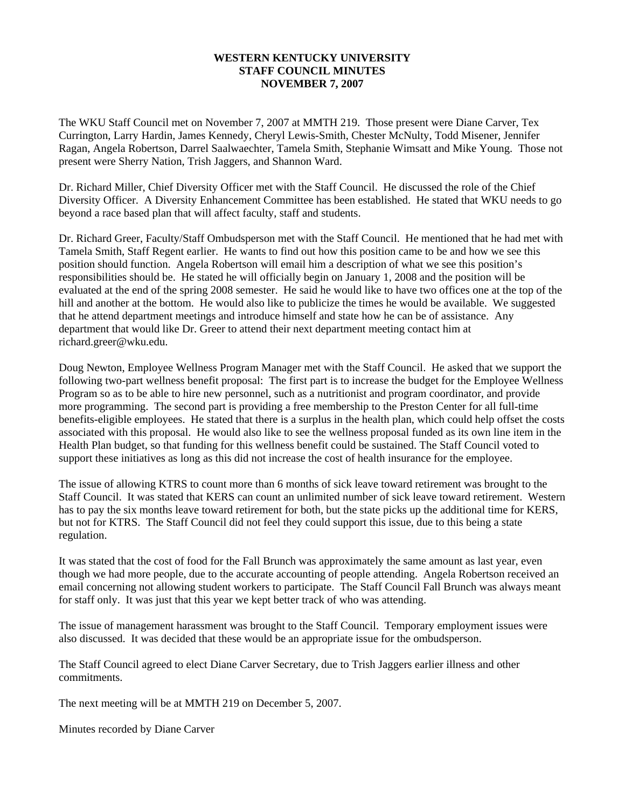#### **WESTERN KENTUCKY UNIVERSITY STAFF COUNCIL MINUTES NOVEMBER 7, 2007**

The WKU Staff Council met on November 7, 2007 at MMTH 219. Those present were Diane Carver, Tex Currington, Larry Hardin, James Kennedy, Cheryl Lewis-Smith, Chester McNulty, Todd Misener, Jennifer Ragan, Angela Robertson, Darrel Saalwaechter, Tamela Smith, Stephanie Wimsatt and Mike Young. Those not present were Sherry Nation, Trish Jaggers, and Shannon Ward.

Dr. Richard Miller, Chief Diversity Officer met with the Staff Council. He discussed the role of the Chief Diversity Officer. A Diversity Enhancement Committee has been established. He stated that WKU needs to go beyond a race based plan that will affect faculty, staff and students.

Dr. Richard Greer, Faculty/Staff Ombudsperson met with the Staff Council. He mentioned that he had met with Tamela Smith, Staff Regent earlier. He wants to find out how this position came to be and how we see this position should function. Angela Robertson will email him a description of what we see this position's responsibilities should be. He stated he will officially begin on January 1, 2008 and the position will be evaluated at the end of the spring 2008 semester. He said he would like to have two offices one at the top of the hill and another at the bottom. He would also like to publicize the times he would be available. We suggested that he attend department meetings and introduce himself and state how he can be of assistance. Any department that would like Dr. Greer to attend their next department meeting contact him at richard.greer@wku.edu.

Doug Newton, Employee Wellness Program Manager met with the Staff Council. He asked that we support the following two-part wellness benefit proposal: The first part is to increase the budget for the Employee Wellness Program so as to be able to hire new personnel, such as a nutritionist and program coordinator, and provide more programming. The second part is providing a free membership to the Preston Center for all full-time benefits-eligible employees. He stated that there is a surplus in the health plan, which could help offset the costs associated with this proposal. He would also like to see the wellness proposal funded as its own line item in the Health Plan budget, so that funding for this wellness benefit could be sustained. The Staff Council voted to support these initiatives as long as this did not increase the cost of health insurance for the employee.

The issue of allowing KTRS to count more than 6 months of sick leave toward retirement was brought to the Staff Council. It was stated that KERS can count an unlimited number of sick leave toward retirement. Western has to pay the six months leave toward retirement for both, but the state picks up the additional time for KERS, but not for KTRS. The Staff Council did not feel they could support this issue, due to this being a state regulation.

It was stated that the cost of food for the Fall Brunch was approximately the same amount as last year, even though we had more people, due to the accurate accounting of people attending. Angela Robertson received an email concerning not allowing student workers to participate. The Staff Council Fall Brunch was always meant for staff only. It was just that this year we kept better track of who was attending.

The issue of management harassment was brought to the Staff Council. Temporary employment issues were also discussed. It was decided that these would be an appropriate issue for the ombudsperson.

The Staff Council agreed to elect Diane Carver Secretary, due to Trish Jaggers earlier illness and other commitments.

The next meeting will be at MMTH 219 on December 5, 2007.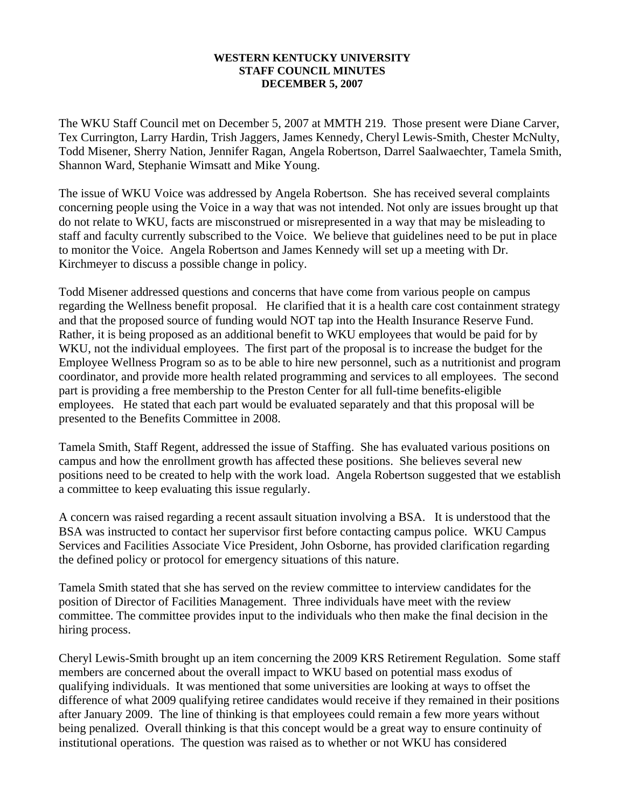#### **WESTERN KENTUCKY UNIVERSITY STAFF COUNCIL MINUTES DECEMBER 5, 2007**

The WKU Staff Council met on December 5, 2007 at MMTH 219. Those present were Diane Carver, Tex Currington, Larry Hardin, Trish Jaggers, James Kennedy, Cheryl Lewis-Smith, Chester McNulty, Todd Misener, Sherry Nation, Jennifer Ragan, Angela Robertson, Darrel Saalwaechter, Tamela Smith, Shannon Ward, Stephanie Wimsatt and Mike Young.

The issue of WKU Voice was addressed by Angela Robertson. She has received several complaints concerning people using the Voice in a way that was not intended. Not only are issues brought up that do not relate to WKU, facts are misconstrued or misrepresented in a way that may be misleading to staff and faculty currently subscribed to the Voice. We believe that guidelines need to be put in place to monitor the Voice. Angela Robertson and James Kennedy will set up a meeting with Dr. Kirchmeyer to discuss a possible change in policy.

Todd Misener addressed questions and concerns that have come from various people on campus regarding the Wellness benefit proposal. He clarified that it is a health care cost containment strategy and that the proposed source of funding would NOT tap into the Health Insurance Reserve Fund. Rather, it is being proposed as an additional benefit to WKU employees that would be paid for by WKU, not the individual employees. The first part of the proposal is to increase the budget for the Employee Wellness Program so as to be able to hire new personnel, such as a nutritionist and program coordinator, and provide more health related programming and services to all employees. The second part is providing a free membership to the Preston Center for all full-time benefits-eligible employees. He stated that each part would be evaluated separately and that this proposal will be presented to the Benefits Committee in 2008.

Tamela Smith, Staff Regent, addressed the issue of Staffing. She has evaluated various positions on campus and how the enrollment growth has affected these positions. She believes several new positions need to be created to help with the work load. Angela Robertson suggested that we establish a committee to keep evaluating this issue regularly.

A concern was raised regarding a recent assault situation involving a BSA. It is understood that the BSA was instructed to contact her supervisor first before contacting campus police. WKU Campus Services and Facilities Associate Vice President, John Osborne, has provided clarification regarding the defined policy or protocol for emergency situations of this nature.

Tamela Smith stated that she has served on the review committee to interview candidates for the position of Director of Facilities Management. Three individuals have meet with the review committee. The committee provides input to the individuals who then make the final decision in the hiring process.

Cheryl Lewis-Smith brought up an item concerning the 2009 KRS Retirement Regulation. Some staff members are concerned about the overall impact to WKU based on potential mass exodus of qualifying individuals. It was mentioned that some universities are looking at ways to offset the difference of what 2009 qualifying retiree candidates would receive if they remained in their positions after January 2009. The line of thinking is that employees could remain a few more years without being penalized. Overall thinking is that this concept would be a great way to ensure continuity of institutional operations. The question was raised as to whether or not WKU has considered